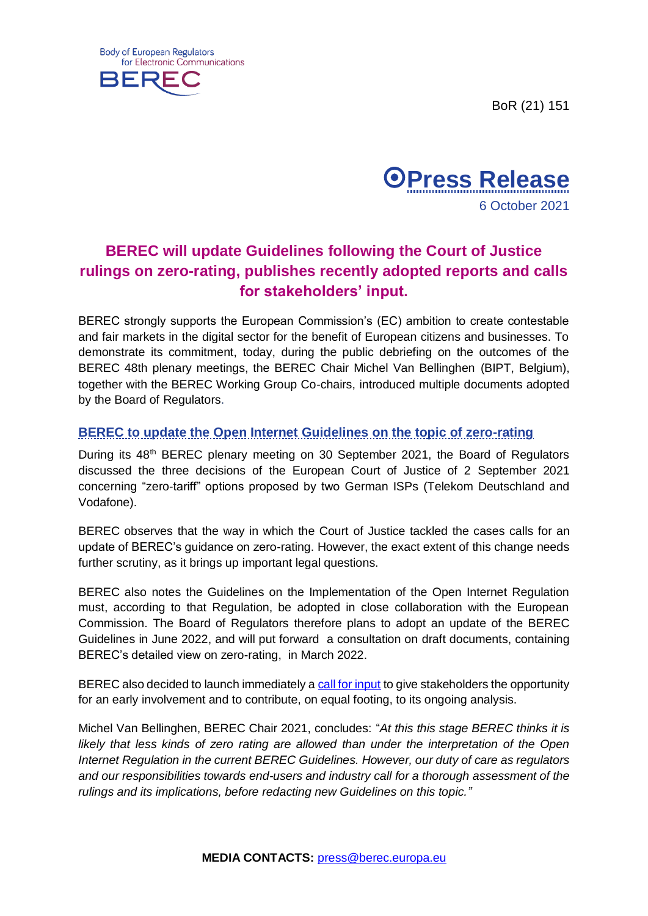BoR (21) 151





# **BEREC will update Guidelines following the Court of Justice rulings on zero-rating, publishes recently adopted reports and calls for stakeholders' input.**

BEREC strongly supports the European Commission's (EC) ambition to create contestable and fair markets in the digital sector for the benefit of European citizens and businesses. To demonstrate its commitment, today, during the public debriefing on the outcomes of the BEREC 48th plenary meetings, the BEREC Chair Michel Van Bellinghen (BIPT, Belgium), together with the BEREC Working Group Co-chairs, introduced multiple documents adopted by the Board of Regulators.

# **BEREC to update the Open Internet Guidelines on the topic of zero-rating**

During its 48<sup>th</sup> BEREC plenary meeting on 30 September 2021, the Board of Regulators discussed the three decisions of the European Court of Justice of 2 September 2021 concerning "zero-tariff" options proposed by two German ISPs (Telekom Deutschland and Vodafone).

BEREC observes that the way in which the Court of Justice tackled the cases calls for an update of BEREC's guidance on zero-rating. However, the exact extent of this change needs further scrutiny, as it brings up important legal questions.

BEREC also notes the Guidelines on the Implementation of the Open Internet Regulation must, according to that Regulation, be adopted in close collaboration with the European Commission. The Board of Regulators therefore plans to adopt an update of the BEREC Guidelines in June 2022, and will put forward a consultation on draft documents, containing BEREC's detailed view on zero-rating, in March 2022.

BEREC also decided to launch immediately a [call for input](https://berec.europa.eu/files/document_register_store/2021/10/BoR_(21)_149_Call_for_stakeholder_input_final.pdf) to give stakeholders the opportunity for an early involvement and to contribute, on equal footing, to its ongoing analysis.

Michel Van Bellinghen, BEREC Chair 2021, concludes: "*At this this stage BEREC thinks it is likely that less kinds of zero rating are allowed than under the interpretation of the Open Internet Regulation in the current BEREC Guidelines. However, our duty of care as regulators and our responsibilities towards end-users and industry call for a thorough assessment of the rulings and its implications, before redacting new Guidelines on this topic."*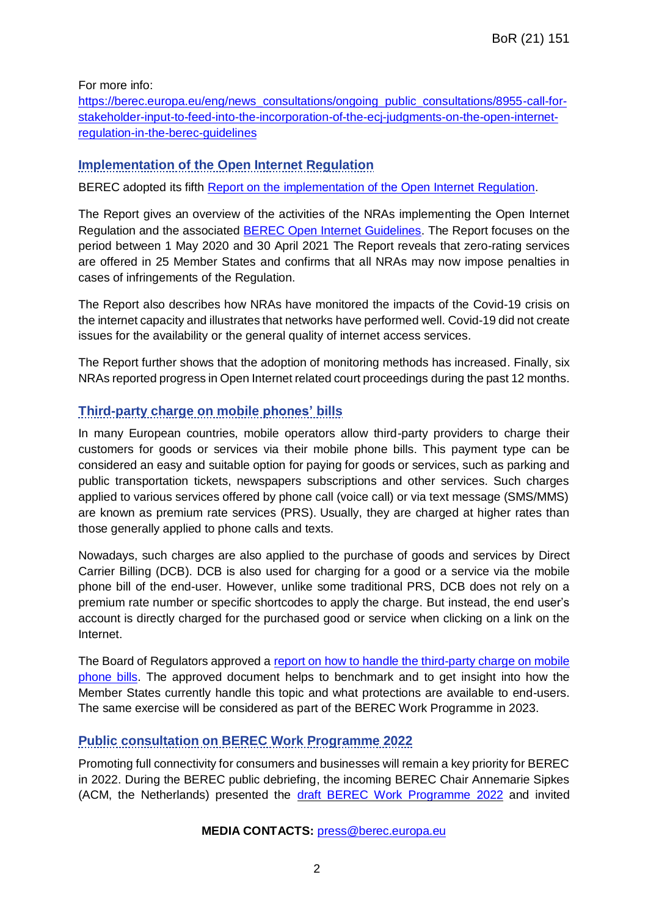For more info:

[https://berec.europa.eu/eng/news\\_consultations/ongoing\\_public\\_consultations/8955-call-for](https://berec.europa.eu/eng/news_consultations/ongoing_public_consultations/8955-call-for-stakeholder-input-to-feed-into-the-incorporation-of-the-ecj-judgments-on-the-open-internet-regulation-in-the-berec-guidelines)[stakeholder-input-to-feed-into-the-incorporation-of-the-ecj-judgments-on-the-open-internet](https://berec.europa.eu/eng/news_consultations/ongoing_public_consultations/8955-call-for-stakeholder-input-to-feed-into-the-incorporation-of-the-ecj-judgments-on-the-open-internet-regulation-in-the-berec-guidelines)[regulation-in-the-berec-guidelines](https://berec.europa.eu/eng/news_consultations/ongoing_public_consultations/8955-call-for-stakeholder-input-to-feed-into-the-incorporation-of-the-ecj-judgments-on-the-open-internet-regulation-in-the-berec-guidelines)

# **Implementation of the Open Internet Regulation**

BEREC adopted its fifth [Report on the implementation of the Open Internet Regulation.](https://berec.europa.eu/files/document_register_store/2021/10/BoR_(21)_119_OI_Implementation-Report.pdf)

The Report gives an overview of the activities of the NRAs implementing the Open Internet Regulation and the associated **BEREC Open Internet Guidelines**. The Report focuses on the period between 1 May 2020 and 30 April 2021 The Report reveals that zero-rating services are offered in 25 Member States and confirms that all NRAs may now impose penalties in cases of infringements of the Regulation.

The Report also describes how NRAs have monitored the impacts of the Covid-19 crisis on the internet capacity and illustrates that networks have performed well. Covid-19 did not create issues for the availability or the general quality of internet access services.

The Report further shows that the adoption of monitoring methods has increased. Finally, six NRAs reported progress in Open Internet related court proceedings during the past 12 months.

# **Third-party charge on mobile phones' bills**

In many European countries, mobile operators allow third-party providers to charge their customers for goods or services via their mobile phone bills. This payment type can be considered an easy and suitable option for paying for goods or services, such as parking and public transportation tickets, newspapers subscriptions and other services. Such charges applied to various services offered by phone call (voice call) or via text message (SMS/MMS) are known as premium rate services (PRS). Usually, they are charged at higher rates than those generally applied to phone calls and texts.

Nowadays, such charges are also applied to the purchase of goods and services by Direct Carrier Billing (DCB). DCB is also used for charging for a good or a service via the mobile phone bill of the end-user. However, unlike some traditional PRS, DCB does not rely on a premium rate number or specific shortcodes to apply the charge. But instead, the end user's account is directly charged for the purchased good or service when clicking on a link on the Internet.

The Board of Regulators approved a [report on how to handle the third-party charge on mobile](https://berec.europa.eu/files/document_register_store/2021/10/BoR_(21)_118_Report_on_how_to_handle_third-party_payment_charges_on_mobile_phone_bills.pdf)  [phone bills.](https://berec.europa.eu/files/document_register_store/2021/10/BoR_(21)_118_Report_on_how_to_handle_third-party_payment_charges_on_mobile_phone_bills.pdf) The approved document helps to benchmark and to get insight into how the Member States currently handle this topic and what protections are available to end-users. The same exercise will be considered as part of the BEREC Work Programme in 2023.

# **Public consultation on BEREC Work Programme 2022**

Promoting full connectivity for consumers and businesses will remain a key priority for BEREC in 2022. During the BEREC public debriefing, the incoming BEREC Chair Annemarie Sipkes (ACM, the Netherlands) presented the [draft BEREC Work Programme 2022](https://berec.europa.eu/files/document_register_store/2021/10/BoR_(21)_133_Draft_BEREC_Work_Programme2022.pdf) and invited

#### **MEDIA CONTACTS:** [press@berec.europa.eu](mailto:press@berec.europa.eu)